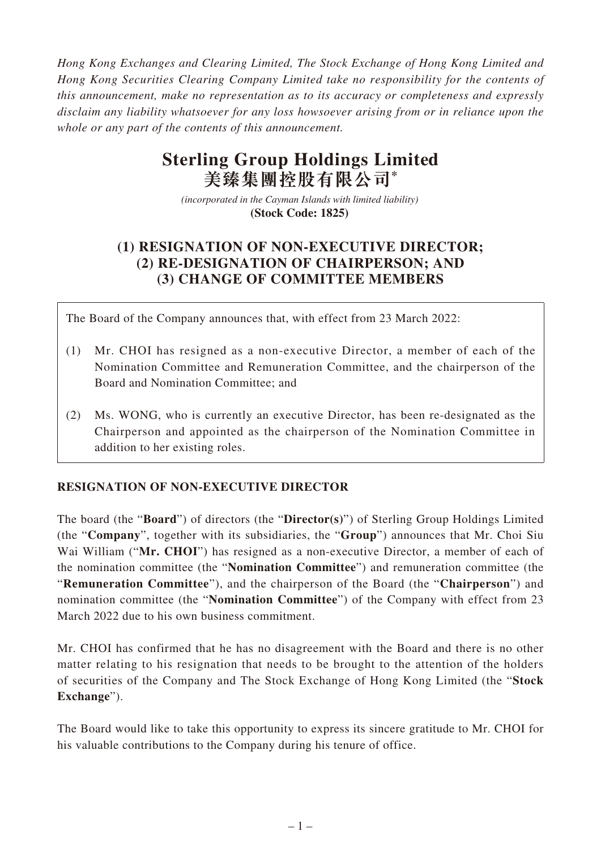*Hong Kong Exchanges and Clearing Limited, The Stock Exchange of Hong Kong Limited and Hong Kong Securities Clearing Company Limited take no responsibility for the contents of this announcement, make no representation as to its accuracy or completeness and expressly disclaim any liability whatsoever for any loss howsoever arising from or in reliance upon the whole or any part of the contents of this announcement.*

# **Sterling Group Holdings Limited 美臻集團控股有限公司\***

*(incorporated in the Cayman Islands with limited liability)*  **(Stock Code: 1825)** 

# **(1) RESIGNATION OF NON-EXECUTIVE DIRECTOR; (2) RE-DESIGNATION OF CHAIRPERSON; AND (3) CHANGE OF COMMITTEE MEMBERS**

The Board of the Company announces that, with effect from 23 March 2022:

- (1) Mr. CHOI has resigned as a non-executive Director, a member of each of the Nomination Committee and Remuneration Committee, and the chairperson of the Board and Nomination Committee; and
- (2) Ms. WONG, who is currently an executive Director, has been re-designated as the Chairperson and appointed as the chairperson of the Nomination Committee in addition to her existing roles.

## **RESIGNATION OF NON-EXECUTIVE DIRECTOR**

The board (the "**Board**") of directors (the "**Director(s)**") of Sterling Group Holdings Limited (the "**Company**", together with its subsidiaries, the "**Group**") announces that Mr. Choi Siu Wai William ("**Mr. CHOI**") has resigned as a non-executive Director, a member of each of the nomination committee (the "**Nomination Committee**") and remuneration committee (the "**Remuneration Committee**"), and the chairperson of the Board (the "**Chairperson**") and nomination committee (the "**Nomination Committee**") of the Company with effect from 23 March 2022 due to his own business commitment.

Mr. CHOI has confirmed that he has no disagreement with the Board and there is no other matter relating to his resignation that needs to be brought to the attention of the holders of securities of the Company and The Stock Exchange of Hong Kong Limited (the "**Stock Exchange**").

The Board would like to take this opportunity to express its sincere gratitude to Mr. CHOI for his valuable contributions to the Company during his tenure of office.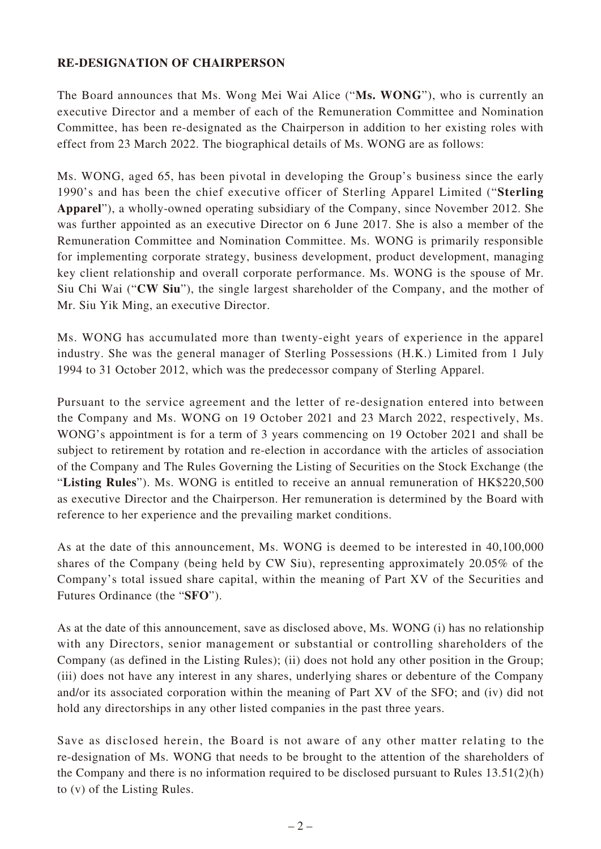### **RE-DESIGNATION OF CHAIRPERSON**

The Board announces that Ms. Wong Mei Wai Alice ("**Ms. WONG**"), who is currently an executive Director and a member of each of the Remuneration Committee and Nomination Committee, has been re-designated as the Chairperson in addition to her existing roles with effect from 23 March 2022. The biographical details of Ms. WONG are as follows:

Ms. WONG, aged 65, has been pivotal in developing the Group's business since the early 1990's and has been the chief executive officer of Sterling Apparel Limited ("**Sterling Apparel**"), a wholly-owned operating subsidiary of the Company, since November 2012. She was further appointed as an executive Director on 6 June 2017. She is also a member of the Remuneration Committee and Nomination Committee. Ms. WONG is primarily responsible for implementing corporate strategy, business development, product development, managing key client relationship and overall corporate performance. Ms. WONG is the spouse of Mr. Siu Chi Wai ("**CW Siu**"), the single largest shareholder of the Company, and the mother of Mr. Siu Yik Ming, an executive Director.

Ms. WONG has accumulated more than twenty-eight years of experience in the apparel industry. She was the general manager of Sterling Possessions (H.K.) Limited from 1 July 1994 to 31 October 2012, which was the predecessor company of Sterling Apparel.

Pursuant to the service agreement and the letter of re-designation entered into between the Company and Ms. WONG on 19 October 2021 and 23 March 2022, respectively, Ms. WONG's appointment is for a term of 3 years commencing on 19 October 2021 and shall be subject to retirement by rotation and re-election in accordance with the articles of association of the Company and The Rules Governing the Listing of Securities on the Stock Exchange (the "**Listing Rules**"). Ms. WONG is entitled to receive an annual remuneration of HK\$220,500 as executive Director and the Chairperson. Her remuneration is determined by the Board with reference to her experience and the prevailing market conditions.

As at the date of this announcement, Ms. WONG is deemed to be interested in 40,100,000 shares of the Company (being held by CW Siu), representing approximately 20.05% of the Company's total issued share capital, within the meaning of Part XV of the Securities and Futures Ordinance (the "**SFO**").

As at the date of this announcement, save as disclosed above, Ms. WONG (i) has no relationship with any Directors, senior management or substantial or controlling shareholders of the Company (as defined in the Listing Rules); (ii) does not hold any other position in the Group; (iii) does not have any interest in any shares, underlying shares or debenture of the Company and/or its associated corporation within the meaning of Part XV of the SFO; and (iv) did not hold any directorships in any other listed companies in the past three years.

Save as disclosed herein, the Board is not aware of any other matter relating to the re-designation of Ms. WONG that needs to be brought to the attention of the shareholders of the Company and there is no information required to be disclosed pursuant to Rules 13.51(2)(h) to (v) of the Listing Rules.